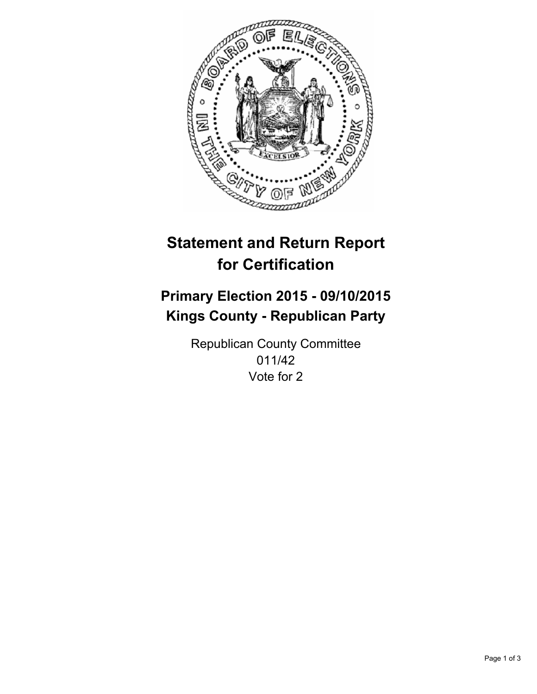

# **Statement and Return Report for Certification**

## **Primary Election 2015 - 09/10/2015 Kings County - Republican Party**

Republican County Committee 011/42 Vote for 2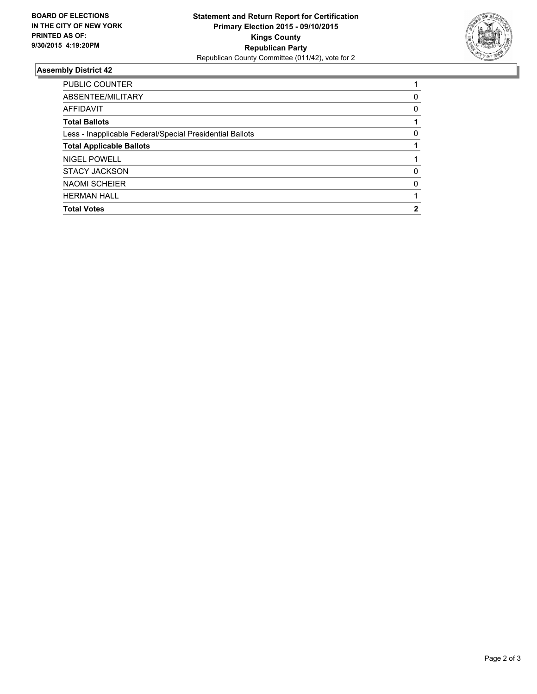

### **Assembly District 42**

| <b>PUBLIC COUNTER</b>                                    |   |
|----------------------------------------------------------|---|
| ABSENTEE/MILITARY                                        | 0 |
| <b>AFFIDAVIT</b>                                         | 0 |
| <b>Total Ballots</b>                                     |   |
| Less - Inapplicable Federal/Special Presidential Ballots | 0 |
| <b>Total Applicable Ballots</b>                          |   |
| NIGEL POWELL                                             |   |
| <b>STACY JACKSON</b>                                     | 0 |
| <b>NAOMI SCHEIER</b>                                     | 0 |
| <b>HERMAN HALL</b>                                       |   |
| <b>Total Votes</b>                                       |   |